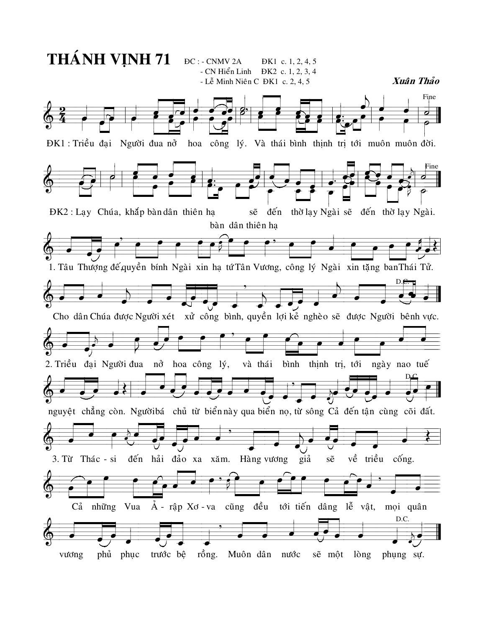